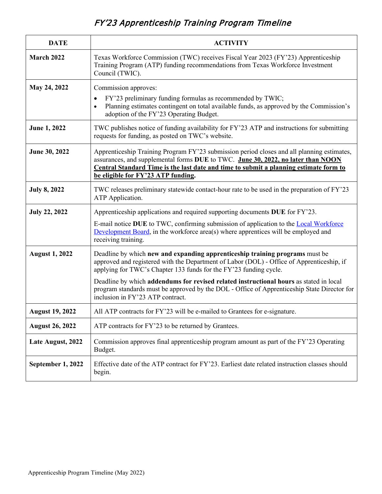## FY'23 Apprenticeship Training Program Timeline

| <b>DATE</b>            | <b>ACTIVITY</b>                                                                                                                                                                                                                                                                                               |
|------------------------|---------------------------------------------------------------------------------------------------------------------------------------------------------------------------------------------------------------------------------------------------------------------------------------------------------------|
| March 2022             | Texas Workforce Commission (TWC) receives Fiscal Year 2023 (FY'23) Apprenticeship<br>Training Program (ATP) funding recommendations from Texas Workforce Investment<br>Council (TWIC).                                                                                                                        |
| May 24, 2022           | Commission approves:<br>FY'23 preliminary funding formulas as recommended by TWIC;<br>Planning estimates contingent on total available funds, as approved by the Commission's<br>$\bullet$<br>adoption of the FY'23 Operating Budget.                                                                         |
| <b>June 1, 2022</b>    | TWC publishes notice of funding availability for FY'23 ATP and instructions for submitting<br>requests for funding, as posted on TWC's website.                                                                                                                                                               |
| June 30, 2022          | Apprenticeship Training Program FY'23 submission period closes and all planning estimates,<br>assurances, and supplemental forms DUE to TWC. June 30, 2022, no later than NOON<br>Central Standard Time is the last date and time to submit a planning estimate form to<br>be eligible for FY'23 ATP funding. |
| <b>July 8, 2022</b>    | TWC releases preliminary statewide contact-hour rate to be used in the preparation of FY'23<br>ATP Application.                                                                                                                                                                                               |
| <b>July 22, 2022</b>   | Apprenticeship applications and required supporting documents DUE for FY'23.                                                                                                                                                                                                                                  |
|                        | E-mail notice DUE to TWC, confirming submission of application to the Local Workforce<br>Development Board, in the workforce area(s) where apprentices will be employed and<br>receiving training.                                                                                                            |
| <b>August 1, 2022</b>  | Deadline by which new and expanding apprenticeship training programs must be<br>approved and registered with the Department of Labor (DOL) - Office of Apprenticeship, if<br>applying for TWC's Chapter 133 funds for the FY'23 funding cycle.                                                                |
|                        | Deadline by which addendums for revised related instructional hours as stated in local<br>program standards must be approved by the DOL - Office of Apprenticeship State Director for<br>inclusion in FY'23 ATP contract.                                                                                     |
| <b>August 19, 2022</b> | All ATP contracts for FY'23 will be e-mailed to Grantees for e-signature.                                                                                                                                                                                                                                     |
| <b>August 26, 2022</b> | ATP contracts for FY'23 to be returned by Grantees.                                                                                                                                                                                                                                                           |
| Late August, 2022      | Commission approves final apprenticeship program amount as part of the FY'23 Operating<br>Budget.                                                                                                                                                                                                             |
| September 1, 2022      | Effective date of the ATP contract for FY'23. Earliest date related instruction classes should<br>begin.                                                                                                                                                                                                      |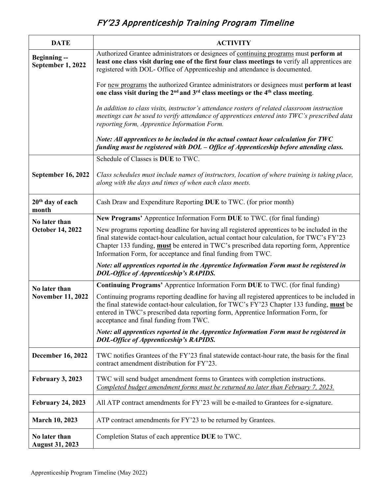## FY'23 Apprenticeship Training Program Timeline

| <b>DATE</b>                             | <b>ACTIVITY</b>                                                                                                                                                                                                                                                                                                                                              |
|-----------------------------------------|--------------------------------------------------------------------------------------------------------------------------------------------------------------------------------------------------------------------------------------------------------------------------------------------------------------------------------------------------------------|
| <b>Beginning--</b><br>September 1, 2022 | Authorized Grantee administrators or designees of continuing programs must perform at<br>least one class visit during one of the first four class meetings to verify all apprentices are<br>registered with DOL- Office of Apprenticeship and attendance is documented.                                                                                      |
|                                         | For new programs the authorized Grantee administrators or designees must perform at least<br>one class visit during the 2 <sup>nd</sup> and 3 <sup>rd</sup> class meetings or the 4 <sup>th</sup> class meeting.                                                                                                                                             |
|                                         | In addition to class visits, instructor's attendance rosters of related classroom instruction<br>meetings can be used to verify attendance of apprentices entered into TWC's prescribed data<br>reporting form, Apprentice Information Form.                                                                                                                 |
|                                         | Note: All apprentices to be included in the actual contact hour calculation for TWC<br>funding must be registered with DOL – Office of Apprenticeship before attending class.                                                                                                                                                                                |
|                                         | Schedule of Classes is DUE to TWC.                                                                                                                                                                                                                                                                                                                           |
| <b>September 16, 2022</b>               | Class schedules must include names of instructors, location of where training is taking place,<br>along with the days and times of when each class meets.                                                                                                                                                                                                    |
| 20 <sup>th</sup> day of each<br>month   | Cash Draw and Expenditure Reporting DUE to TWC. (for prior month)                                                                                                                                                                                                                                                                                            |
| No later than                           | New Programs' Apprentice Information Form DUE to TWC. (for final funding)                                                                                                                                                                                                                                                                                    |
| <b>October 14, 2022</b>                 | New programs reporting deadline for having all registered apprentices to be included in the<br>final statewide contact-hour calculation, actual contact hour calculation, for TWC's FY'23<br>Chapter 133 funding, <b>must</b> be entered in TWC's prescribed data reporting form, Apprentice<br>Information Form, for acceptance and final funding from TWC. |
|                                         | Note: all apprentices reported in the Apprentice Information Form must be registered in<br><b>DOL-Office of Apprenticeship's RAPIDS.</b>                                                                                                                                                                                                                     |
| No later than                           | Continuing Programs' Apprentice Information Form DUE to TWC. (for final funding)                                                                                                                                                                                                                                                                             |
| <b>November 11, 2022</b>                | Continuing programs reporting deadline for having all registered apprentices to be included in<br>the final statewide contact-hour calculation, for TWC's FY'23 Chapter 133 funding, must be<br>entered in TWC's prescribed data reporting form, Apprentice Information Form, for<br>acceptance and final funding from TWC.                                  |
|                                         | Note: all apprentices reported in the Apprentice Information Form must be registered in<br><b>DOL-Office of Apprenticeship's RAPIDS.</b>                                                                                                                                                                                                                     |
| <b>December 16, 2022</b>                | TWC notifies Grantees of the FY'23 final statewide contact-hour rate, the basis for the final<br>contract amendment distribution for FY'23.                                                                                                                                                                                                                  |
| February 3, 2023                        | TWC will send budget amendment forms to Grantees with completion instructions.<br>Completed budget amendment forms must be returned no later than February 7, 2023.                                                                                                                                                                                          |
| <b>February 24, 2023</b>                | All ATP contract amendments for FY'23 will be e-mailed to Grantees for e-signature.                                                                                                                                                                                                                                                                          |
| <b>March 10, 2023</b>                   | ATP contract amendments for FY'23 to be returned by Grantees.                                                                                                                                                                                                                                                                                                |
| No later than<br><b>August 31, 2023</b> | Completion Status of each apprentice DUE to TWC.                                                                                                                                                                                                                                                                                                             |